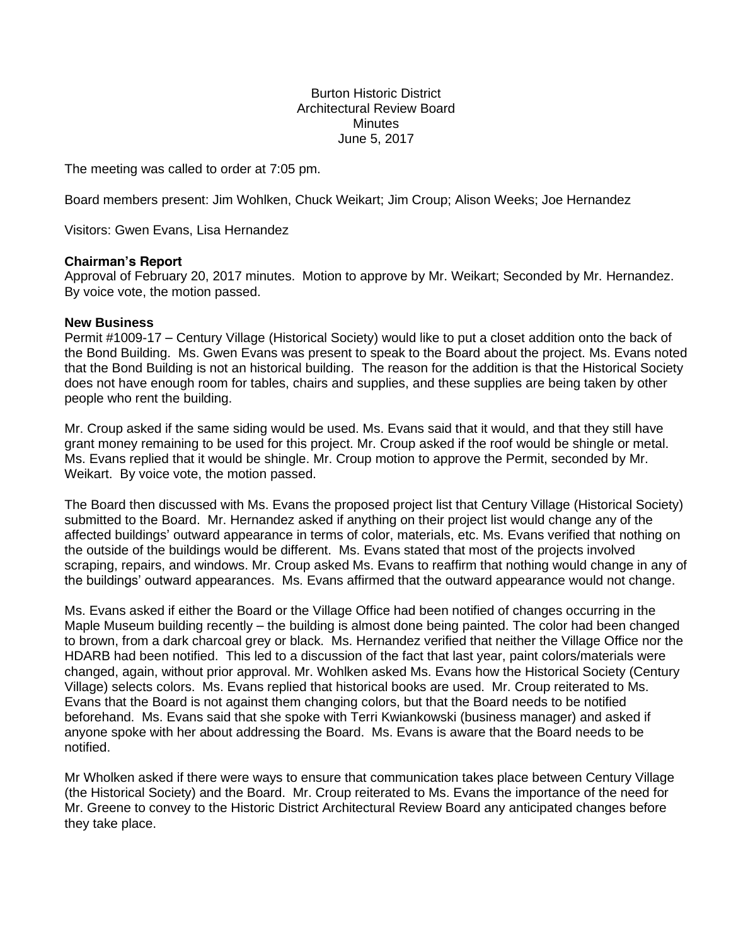# Burton Historic District Architectural Review Board **Minutes** June 5, 2017

The meeting was called to order at 7:05 pm.

Board members present: Jim Wohlken, Chuck Weikart; Jim Croup; Alison Weeks; Joe Hernandez

Visitors: Gwen Evans, Lisa Hernandez

## **Chairman's Report**

Approval of February 20, 2017 minutes. Motion to approve by Mr. Weikart; Seconded by Mr. Hernandez. By voice vote, the motion passed.

### **New Business**

Permit #1009-17 – Century Village (Historical Society) would like to put a closet addition onto the back of the Bond Building. Ms. Gwen Evans was present to speak to the Board about the project. Ms. Evans noted that the Bond Building is not an historical building. The reason for the addition is that the Historical Society does not have enough room for tables, chairs and supplies, and these supplies are being taken by other people who rent the building.

Mr. Croup asked if the same siding would be used. Ms. Evans said that it would, and that they still have grant money remaining to be used for this project. Mr. Croup asked if the roof would be shingle or metal. Ms. Evans replied that it would be shingle. Mr. Croup motion to approve the Permit, seconded by Mr. Weikart. By voice vote, the motion passed.

The Board then discussed with Ms. Evans the proposed project list that Century Village (Historical Society) submitted to the Board. Mr. Hernandez asked if anything on their project list would change any of the affected buildings' outward appearance in terms of color, materials, etc. Ms. Evans verified that nothing on the outside of the buildings would be different. Ms. Evans stated that most of the projects involved scraping, repairs, and windows. Mr. Croup asked Ms. Evans to reaffirm that nothing would change in any of the buildings' outward appearances. Ms. Evans affirmed that the outward appearance would not change.

Ms. Evans asked if either the Board or the Village Office had been notified of changes occurring in the Maple Museum building recently – the building is almost done being painted. The color had been changed to brown, from a dark charcoal grey or black. Ms. Hernandez verified that neither the Village Office nor the HDARB had been notified. This led to a discussion of the fact that last year, paint colors/materials were changed, again, without prior approval. Mr. Wohlken asked Ms. Evans how the Historical Society (Century Village) selects colors. Ms. Evans replied that historical books are used. Mr. Croup reiterated to Ms. Evans that the Board is not against them changing colors, but that the Board needs to be notified beforehand. Ms. Evans said that she spoke with Terri Kwiankowski (business manager) and asked if anyone spoke with her about addressing the Board. Ms. Evans is aware that the Board needs to be notified.

Mr Wholken asked if there were ways to ensure that communication takes place between Century Village (the Historical Society) and the Board. Mr. Croup reiterated to Ms. Evans the importance of the need for Mr. Greene to convey to the Historic District Architectural Review Board any anticipated changes before they take place.